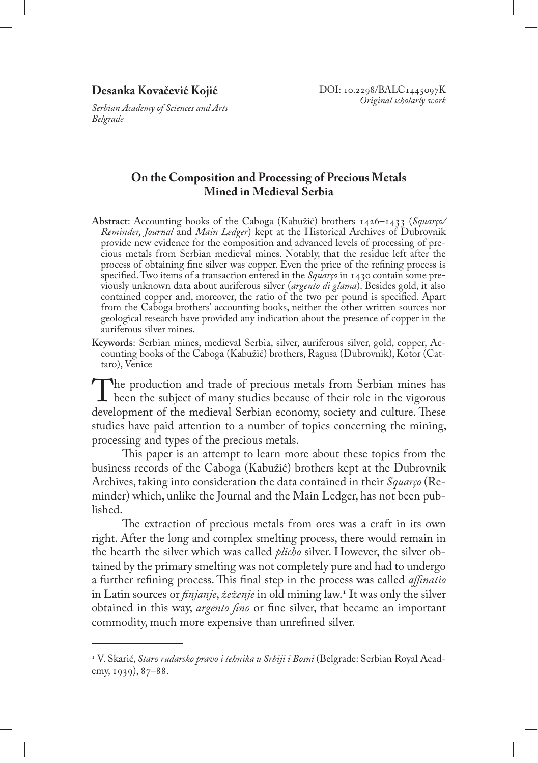### **Desanka Kovačević Kojić**

*Serbian Academy of Sciences and Arts Belgrade*

# **On the Composition and Processing of Precious Metals Mined in Medieval Serbia**

- **Abstract**: Accounting books of the Caboga (Kabužić) brothers 1426–1433 (*Squarço/ Reminder, Journal* and *Main Ledger*) kept at the Historical Archives of Dubrovnik provide new evidence for the composition and advanced levels of processing of precious metals from Serbian medieval mines. Notably, that the residue left after the process of obtaining fine silver was copper. Even the price of the refining process is specified. Two items of a transaction entered in the *Squarço* in 1430 contain some previously unknown data about auriferous silver (*argento di glama*). Besides gold, it also contained copper and, moreover, the ratio of the two per pound is specified. Apart from the Caboga brothers' accounting books, neither the other written sources nor geological research have provided any indication about the presence of copper in the auriferous silver mines.
- **Keywords**: Serbian mines, medieval Serbia, silver, auriferous silver, gold, copper, Accounting books of the Caboga (Kabužić) brothers, Ragusa (Dubrovnik), Kotor (Cattaro), Venice

The production and trade of precious metals from Serbian mines has<br>been the subject of many studies because of their role in the vigorous<br>development of the medieval Serbian economy society and culture These development of the medieval Serbian economy, society and culture. These studies have paid attention to a number of topics concerning the mining, processing and types of the precious metals.

This paper is an attempt to learn more about these topics from the business records of the Caboga (Kabužić) brothers kept at the Dubrovnik Archives, taking into consideration the data contained in their *Squarço* (Reminder) which, unlike the Journal and the Main Ledger, has not been published.

The extraction of precious metals from ores was a craft in its own right. After the long and complex smelting process, there would remain in the hearth the silver which was called *plicho* silver. However, the silver obtained by the primary smelting was not completely pure and had to undergo a further refining process. This final step in the process was called *affinatio* in Latin sources or *finjanje*, *žeženje* in old mining law.<sup>1</sup> It was only the silver obtained in this way, *argento fino* or fine silver, that became an important commodity, much more expensive than unrefined silver.

<sup>&</sup>lt;sup>1</sup> V. Skarić, *Staro rudarsko pravo i tehnika u Srbiji i Bosni* (Belgrade: Serbian Royal Academy, 1939), 87–88.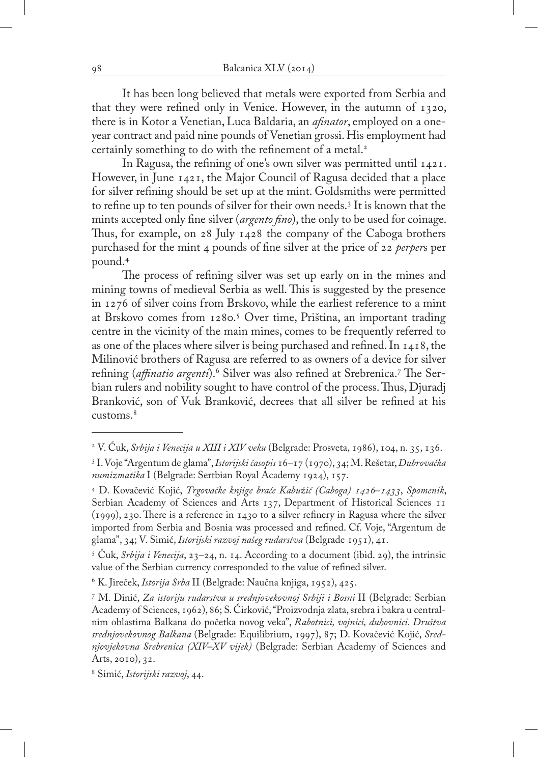It has been long believed that metals were exported from Serbia and that they were refined only in Venice. However, in the autumn of 1320, there is in Kotor a Venetian, Luca Baldaria, an *afinator*, employed on a oneyear contract and paid nine pounds of Venetian grossi. His employment had certainly something to do with the refinement of a metal.<sup>2</sup>

In Ragusa, the refining of one's own silver was permitted until 1421. However, in June 1421, the Major Council of Ragusa decided that a place for silver refining should be set up at the mint. Goldsmiths were permitted to refine up to ten pounds of silver for their own needs.3 It is known that the mints accepted only fine silver (*argento fino*), the only to be used for coinage. Thus, for example, on 28 July 1428 the company of the Caboga brothers purchased for the mint 4 pounds of fine silver at the price of 22 *perper*s per pound.4

The process of refining silver was set up early on in the mines and mining towns of medieval Serbia as well. This is suggested by the presence in 1276 of silver coins from Brskovo, while the earliest reference to a mint at Brskovo comes from 1280.<sup>5</sup> Over time, Priština, an important trading centre in the vicinity of the main mines, comes to be frequently referred to as one of the places where silver is being purchased and refined. In 1418, the Milinović brothers of Ragusa are referred to as owners of a device for silver refining (*affinatio argenti*).<sup>6</sup> Silver was also refined at Srebrenica.<sup>7</sup> The Serbian rulers and nobility sought to have control of the process. Thus, Djuradj Branković, son of Vuk Branković, decrees that all silver be refined at his customs.8

<sup>2</sup> V. Ćuk, *Srbija i Venecija u XIII i XIV veku* (Belgrade: Prosveta, 1986), 104, n. 35, 136.

<sup>3</sup> I. Voje "Argentum de glama", *Istorijski časopis* 16–17 (1970), 34; M. Rešetar, *Dubrovačka numizmatika* I (Belgrade: Sertbian Royal Academy 1924), 157.

<sup>4</sup> D. Kovačević Kojić, *Trgovačke knjige braće Kabužić (Caboga) 1426–1433*, *Spomenik*, Serbian Academy of Sciences and Arts 137, Department of Historical Sciences 11 (1999), 230. There is a reference in 1430 to a silver refinery in Ragusa where the silver imported from Serbia and Bosnia was processed and refined. Cf. Voje, "Argentum de glama", 34; V. Simić, *Istorijski razvoj našeg rudarstva* (Belgrade 1951), 41.

<sup>5</sup> Ćuk, *Srbija i Venecija*, 23–24, n. 14. According to a document (ibid. 29), the intrinsic value of the Serbian currency corresponded to the value of refined silver.

<sup>6</sup> K. Jireček, *Istorija Srba* II (Belgrade: Naučna knjiga, 1952), 425.

<sup>7</sup> M. Dinić, *Za istoriju rudarstva u srednjovekovnoj Srbiji i Bosni* II (Belgrade: Serbian Academy of Sciences, 1962), 86; S. Ćirković, "Proizvodnja zlata, srebra i bakra u centralnim oblastima Balkana do početka novog veka", *Rabotnici, vojnici, duhovnici. Društva srednjovekovnog Balkana* (Belgrade: Equilibrium, 1997), 87; D. Kovačević Kojić, *Srednjovjekovna Srebrenica (XIV–XV vijek)* (Belgrade: Serbian Academy of Sciences and Arts, 2010), 32.

<sup>8</sup> Simić, *Istorijski razvoj*, 44.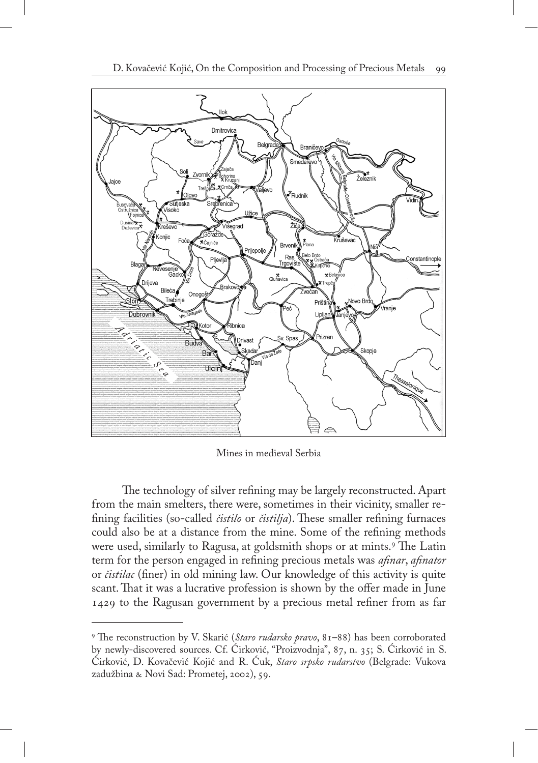

Mines in medieval Serbia

The technology of silver refining may be largely reconstructed. Apart from the main smelters, there were, sometimes in their vicinity, smaller refining facilities (so-called *čistilo* or *čistilja*). These smaller refining furnaces could also be at a distance from the mine. Some of the refining methods were used, similarly to Ragusa, at goldsmith shops or at mints.<sup>9</sup> The Latin term for the person engaged in refining precious metals was *afinar*, *afinator* or *čistilac* (finer) in old mining law. Our knowledge of this activity is quite scant. That it was a lucrative profession is shown by the offer made in June 1429 to the Ragusan government by a precious metal refiner from as far

<sup>9</sup> The reconstruction by V. Skarić (*Staro rudarsko pravo*, 81–88) has been corroborated by newly-discovered sources. Cf. Ćirković, "Proizvodnja", 87, n. 35; S. Ćirković in S. Ćirković, D. Kovačević Kojić and R. Ćuk, *Staro srpsko rudarstvo* (Belgrade: Vukova zadužbina & Novi Sad: Prometej, 2002), 59.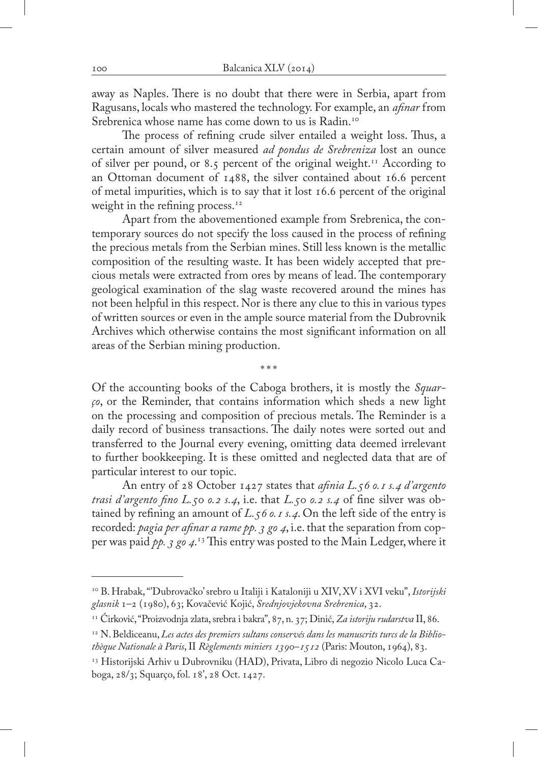away as Naples. There is no doubt that there were in Serbia, apart from Ragusans, locals who mastered the technology. For example, an *afinar* from Srebrenica whose name has come down to us is Radin.<sup>10</sup>

The process of refining crude silver entailed a weight loss. Thus, a certain amount of silver measured *ad pondus de Srebreniza* lost an ounce of silver per pound, or 8.5 percent of the original weight.<sup>11</sup> According to an Ottoman document of 1488, the silver contained about 16.6 percent of metal impurities, which is to say that it lost 16.6 percent of the original weight in the refining process.<sup>12</sup>

Apart from the abovementioned example from Srebrenica, the contemporary sources do not specify the loss caused in the process of refining the precious metals from the Serbian mines. Still less known is the metallic composition of the resulting waste. It has been widely accepted that precious metals were extracted from ores by means of lead. The contemporary geological examination of the slag waste recovered around the mines has not been helpful in this respect. Nor is there any clue to this in various types of written sources or even in the ample source material from the Dubrovnik Archives which otherwise contains the most significant information on all areas of the Serbian mining production.

Of the accounting books of the Caboga brothers, it is mostly the *Squarço*, or the Reminder, that contains information which sheds a new light on the processing and composition of precious metals. The Reminder is a daily record of business transactions. The daily notes were sorted out and transferred to the Journal every evening, omitting data deemed irrelevant to further bookkeeping. It is these omitted and neglected data that are of particular interest to our topic.

\*\*\*

An entry of 28 October 1427 states that *afinia L.56 o.1 s.4 d'argento trasi d'argento fino L.50 o.2 s.4*, i.e. that *L.50 o.2 s.4* of fine silver was obtained by refining an amount of *L.56 o.1 s.4*. On the left side of the entry is recorded: *pagia per afinar a rame pp. 3 go 4*, i.e. that the separation from copper was paid *pp. 3 go 4*. 13 This entry was posted to the Main Ledger, where it

<sup>10</sup> B. Hrabak, "'Dubrovačko' srebro u Italiji i Kataloniji u XIV, XV i XVI veku", *Istorijski glasnik* 1–2 (1980), 63; Kovačević Kojić, *Srednjovjekovna Srebrenica*, 32.

<sup>11</sup> Ćirković, "Proizvodnja zlata, srebra i bakra", 87, n. 37; Dinić, *Za istoriju rudarstva* II, 86.

<sup>12</sup> N. Beldiceanu, *Les actes des premiers sultans conservés dans les manuscrits turcs de la Bibliothèque Nationale à Paris*, II *Règlements miniers 1390–1512* (Paris: Mouton, 1964), 83.

<sup>13</sup> Historijski Arhiv u Dubrovniku (HAD), Privata, Libro di negozio Nicolo Luca Caboga, 28/3; Squarço, fol. 18', 28 Oct. 1427.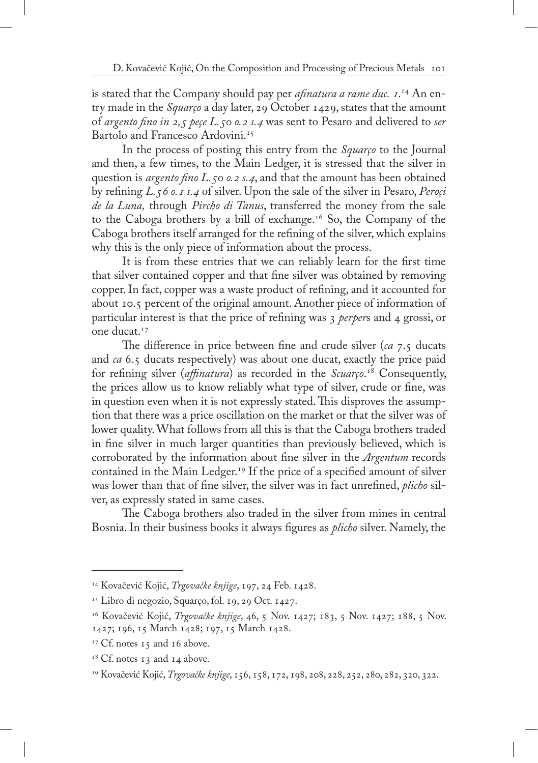is stated that the Company should pay per *afinatura a rame duc. 1*. 14 An entry made in the *Squarço* a day later, 29 October 1429, states that the amount of *argento fino in 2,5 peçe L.50 o.2 s.4* was sent to Pesaro and delivered to *ser* Bartolo and Francesco Ardovini.<sup>15</sup>

In the process of posting this entry from the *Squarço* to the Journal and then, a few times, to the Main Ledger, it is stressed that the silver in question is *argento fino L.50 o.2 s.4*, and that the amount has been obtained by refining *L.56 o.1 s.4* of silver. Upon the sale of the silver in Pesaro, *Peroçi de la Luna,* through *Pircho di Tanus*, transferred the money from the sale to the Caboga brothers by a bill of exchange.16 So, the Company of the Caboga brothers itself arranged for the refining of the silver, which explains why this is the only piece of information about the process.

It is from these entries that we can reliably learn for the first time that silver contained copper and that fine silver was obtained by removing copper. In fact, copper was a waste product of refining, and it accounted for about 10.5 percent of the original amount. Another piece of information of particular interest is that the price of refining was 3 *perper*s and 4 grossi, or one ducat.17

The difference in price between fine and crude silver (*ca* 7.5 ducats and *ca* 6.5 ducats respectively) was about one ducat, exactly the price paid for refining silver (*affinatura*) as recorded in the *Scuarço*. 18 Consequently, the prices allow us to know reliably what type of silver, crude or fine, was in question even when it is not expressly stated. This disproves the assumption that there was a price oscillation on the market or that the silver was of lower quality. What follows from all this is that the Caboga brothers traded in fine silver in much larger quantities than previously believed, which is corroborated by the information about fine silver in the *Argentum* records contained in the Main Ledger.<sup>19</sup> If the price of a specified amount of silver was lower than that of fine silver, the silver was in fact unrefined, *plicho* silver, as expressly stated in same cases.

The Caboga brothers also traded in the silver from mines in central Bosnia. In their business books it always figures as *plicho* silver. Namely, the

<sup>14</sup> Kovačević Kojić, *Trgovačke knjige*, 197, 24 Feb. 1428.

<sup>15</sup> Libro di negozio, Squarço, fol. 19, 29 Oct. 1427.

<sup>16</sup> Kovačević Kojić, *Trgovačke knjige*, 46, 5 Nov. 1427; 183, 5 Nov. 1427; 188, 5 Nov. 1427; 196, 15 March 1428; 197, 15 March 1428.

 $17$  Cf. notes 15 and 16 above.

 $18$  Cf. notes 13 and 14 above.

<sup>19</sup> Kovačević Kojić, *Trgovačke knjige*, 156, 158, 172, 198, 208, 228, 252, 280, 282, 320, 322.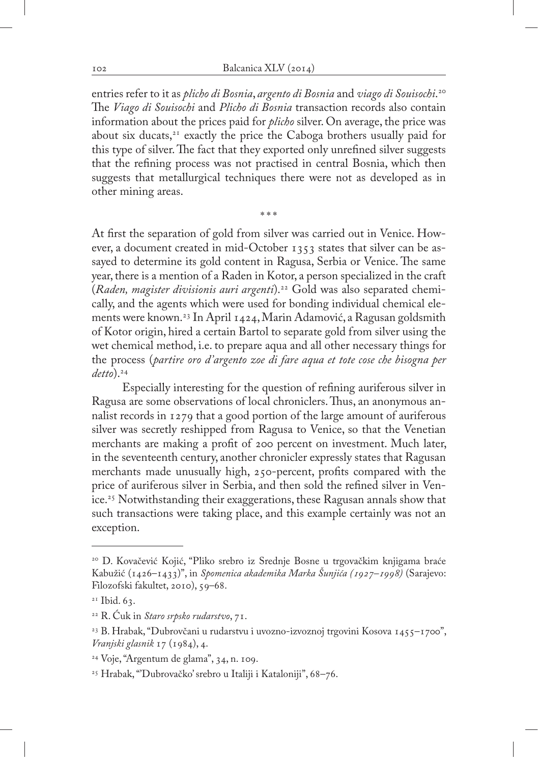entries refer to it as *plicho di Bosnia*, *argento di Bosnia* and *viago di Souisochi*. 20 The *Viago di Souisochi* and *Plicho di Bosnia* transaction records also contain information about the prices paid for *plicho* silver. On average, the price was about six ducats, $2<sup>1</sup>$  exactly the price the Caboga brothers usually paid for this type of silver. The fact that they exported only unrefined silver suggests that the refining process was not practised in central Bosnia, which then suggests that metallurgical techniques there were not as developed as in other mining areas.

\*\*\*

At first the separation of gold from silver was carried out in Venice. However, a document created in mid-October 1353 states that silver can be assayed to determine its gold content in Ragusa, Serbia or Venice. The same year, there is a mention of a Raden in Kotor, a person specialized in the craft (*Raden, magister divisionis auri argenti*).22 Gold was also separated chemically, and the agents which were used for bonding individual chemical elements were known.23 In April 1424, Marin Adamović, a Ragusan goldsmith of Kotor origin, hired a certain Bartol to separate gold from silver using the wet chemical method, i.e. to prepare aqua and all other necessary things for the process (*partire oro d'argento zoe di fare aqua et tote cose che bisogna per detto*).24

Especially interesting for the question of refining auriferous silver in Ragusa are some observations of local chroniclers. Thus, an anonymous annalist records in 1279 that a good portion of the large amount of auriferous silver was secretly reshipped from Ragusa to Venice, so that the Venetian merchants are making a profit of 200 percent on investment. Much later, in the seventeenth century, another chronicler expressly states that Ragusan merchants made unusually high, 250-percent, profits compared with the price of auriferous silver in Serbia, and then sold the refined silver in Venice.25 Notwithstanding their exaggerations, these Ragusan annals show that such transactions were taking place, and this example certainly was not an exception.

<sup>20</sup> D. Kovačević Kojić, "Pliko srebro iz Srednje Bosne u trgovačkim knjigama braće Kabužić (1426–1433)", in *Spomenica akademika Marka Šunjića (1927–1998)* (Sarajevo: Filozofski fakultet, 2010), 59–68.

 $21$  Ibid. 63.

<sup>22</sup> R. Ćuk in *Staro srpsko rudarstvo*, 71.

<sup>23</sup> B. Hrabak, "Dubrovčani u rudarstvu i uvozno-izvoznoj trgovini Kosova 1455–1700", *Vranjski glasnik* 17 (1984), 4.

<sup>24</sup> Voje, "Argentum de glama", 34, n. 109.

<sup>25</sup> Hrabak, "'Dubrovačko' srebro u Italiji i Kataloniji", 68–76.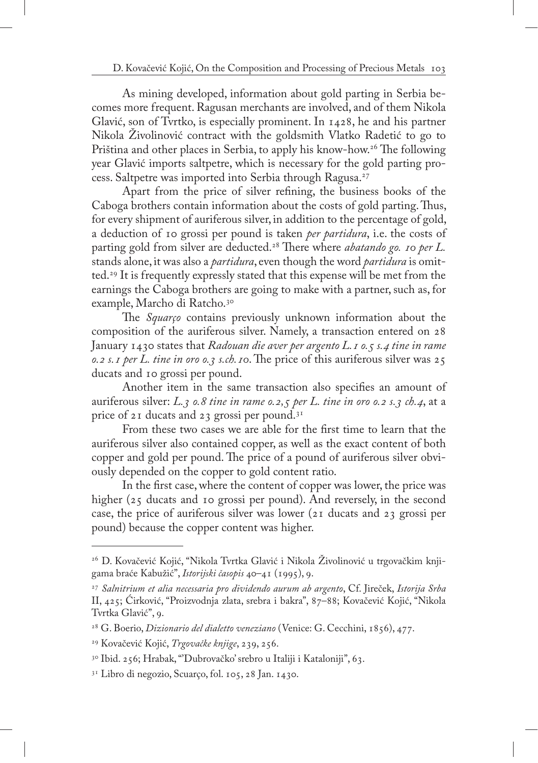As mining developed, information about gold parting in Serbia becomes more frequent. Ragusan merchants are involved, and of them Nikola Glavić, son of Tvrtko, is especially prominent. In 1428, he and his partner Nikola Živolinović contract with the goldsmith Vlatko Radetić to go to Priština and other places in Serbia, to apply his know-how.<sup>26</sup> The following year Glavić imports saltpetre, which is necessary for the gold parting process. Saltpetre was imported into Serbia through Ragusa.27

Apart from the price of silver refining, the business books of the Caboga brothers contain information about the costs of gold parting. Thus, for every shipment of auriferous silver, in addition to the percentage of gold, a deduction of 10 grossi per pound is taken *per partidura*, i.e. the costs of parting gold from silver are deducted.28 There where *abatando go. 10 per L.* stands alone, it was also a *partidura*, even though the word *partidura* is omitted.29 It is frequently expressly stated that this expense will be met from the earnings the Caboga brothers are going to make with a partner, such as, for example, Marcho di Ratcho.<sup>30</sup>

The *Squarço* contains previously unknown information about the composition of the auriferous silver. Namely, a transaction entered on 28 January 1430 states that *Radouan die aver per argento L.1 o.5 s.4 tine in rame o.2 s.1 per L. tine in oro o.3 s.ch.10*. The price of this auriferous silver was 25 ducats and 10 grossi per pound.

Another item in the same transaction also specifies an amount of auriferous silver: *L.3 o.8 tine in rame o.2,5 per L. tine in oro o.2 s.3 ch.4*, at a price of 21 ducats and 23 grossi per pound.<sup>31</sup>

From these two cases we are able for the first time to learn that the auriferous silver also contained copper, as well as the exact content of both copper and gold per pound. The price of a pound of auriferous silver obviously depended on the copper to gold content ratio.

In the first case, where the content of copper was lower, the price was higher (25 ducats and 10 grossi per pound). And reversely, in the second case, the price of auriferous silver was lower (21 ducats and 23 grossi per pound) because the copper content was higher.

<sup>26</sup> D. Kovačević Kojić, "Nikola Tvrtka Glavić i Nikola Živolinović u trgovačkim knjigama braće Kabužić", *Istorijski časopis* 40–41 (1995), 9.

<sup>27</sup> *Salnitrium et alia necessaria pro dividendo aurum ab argento*, Cf. Jireček, *Istorija Srba*  II, 425; Ćirković, "Proizvodnja zlata, srebra i bakra", 87–88; Kovačević Kojić, "Nikola Tvrtka Glavić", 9.

<sup>28</sup> G. Boerio, *Dizionario del dialetto veneziano* (Venice: G. Cecchini, 1856), 477.

<sup>29</sup> Kovačević Kojić, *Trgovačke knjige*, 239, 256.

<sup>30</sup> Ibid. 256; Hrabak, "'Dubrovačko' srebro u Italiji i Kataloniji", 63.

<sup>31</sup> Libro di negozio, Scuarço, fol. 105, 28 Jan. 1430.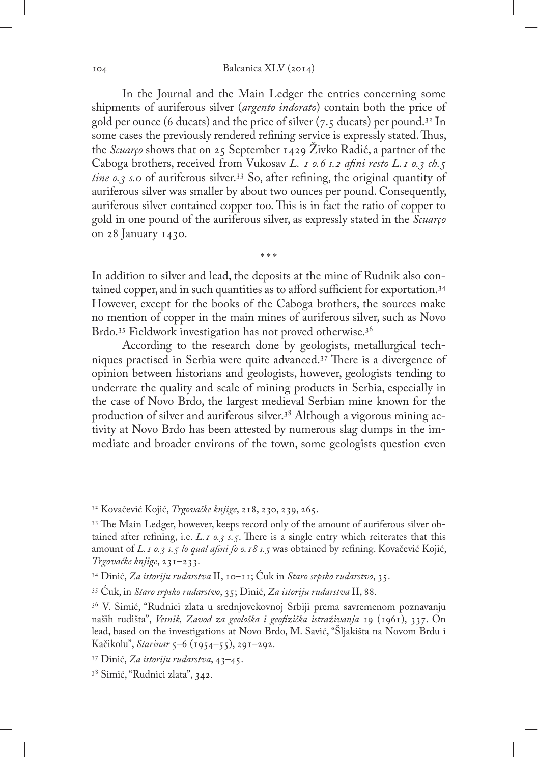In the Journal and the Main Ledger the entries concerning some shipments of auriferous silver (*argento indorato*) contain both the price of gold per ounce (6 ducats) and the price of silver  $(7.5 \text{ ducats})$  per pound.<sup>32</sup> In some cases the previously rendered refining service is expressly stated. Thus, the *Scuarço* shows that on 25 September 1429 Živko Radić, a partner of the Caboga brothers, received from Vukosav *L. 1 o.6 s.2 afini resto L.1 o.3 ch.5 tine o.3 s.0* of auriferous silver.33 So, after refining, the original quantity of auriferous silver was smaller by about two ounces per pound. Consequently, auriferous silver contained copper too. This is in fact the ratio of copper to gold in one pound of the auriferous silver, as expressly stated in the *Scuarço* on 28 January 1430.

In addition to silver and lead, the deposits at the mine of Rudnik also contained copper, and in such quantities as to afford sufficient for exportation.<sup>34</sup> However, except for the books of the Caboga brothers, the sources make no mention of copper in the main mines of auriferous silver, such as Novo Brdo.<sup>35</sup> Fieldwork investigation has not proved otherwise.<sup>36</sup>

\*\*\*

According to the research done by geologists, metallurgical techniques practised in Serbia were quite advanced.37 There is a divergence of opinion between historians and geologists, however, geologists tending to underrate the quality and scale of mining products in Serbia, especially in the case of Novo Brdo, the largest medieval Serbian mine known for the production of silver and auriferous silver.38 Although a vigorous mining activity at Novo Brdo has been attested by numerous slag dumps in the immediate and broader environs of the town, some geologists question even

<sup>32</sup> Kovačević Kojić, *Trgovačke knjige*, 218, 230, 239, 265.

<sup>33</sup> The Main Ledger, however, keeps record only of the amount of auriferous silver obtained after refining, i.e. *L.1 o.3 s.5*. There is a single entry which reiterates that this amount of *L.1 o.3 s.5 lo qual afini fo o.18 s.5* was obtained by refining. Kovačević Kojić, *Trgovačke knjige*, 231–233.

<sup>34</sup> Dinić, *Za istoriju rudarstva* II, 10–11; Ćuk in *Staro srpsko rudarstvo*, 35.

<sup>35</sup> Ćuk, in *Staro srpsko rudarstvo*, 35; Dinić, *Za istoriju rudarstva* II, 88.

<sup>&</sup>lt;sup>36</sup> V. Simić, "Rudnici zlata u srednjovekovnoj Srbiji prema savremenom poznavanju naših rudišta", *Vesnik, Zavod za geološka i geofizička istraživanja* 19 (1961), 337. On lead, based on the investigations at Novo Brdo, M. Savić, "Šljakišta na Novom Brdu i Kačikolu", *Starinar* 5–6 (1954–55), 291–292.

<sup>37</sup> Dinić, *Za istoriju rudarstva*, 43–45.

<sup>38</sup> Simić, "Rudnici zlata", 342.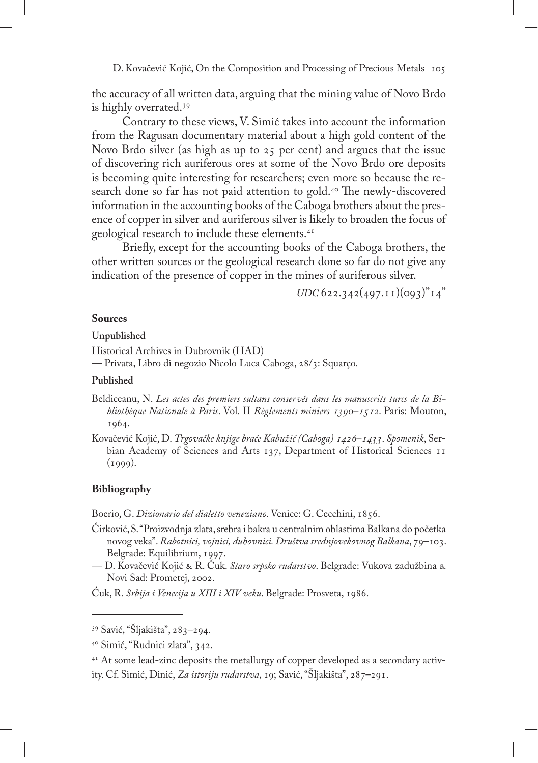the accuracy of all written data, arguing that the mining value of Novo Brdo is highly overrated.39

Contrary to these views, V. Simić takes into account the information from the Ragusan documentary material about a high gold content of the Novo Brdo silver (as high as up to 25 per cent) and argues that the issue of discovering rich auriferous ores at some of the Novo Brdo ore deposits is becoming quite interesting for researchers; even more so because the research done so far has not paid attention to gold.<sup>40</sup> The newly-discovered information in the accounting books of the Caboga brothers about the presence of copper in silver and auriferous silver is likely to broaden the focus of geological research to include these elements.41

Briefly, except for the accounting books of the Caboga brothers, the other written sources or the geological research done so far do not give any indication of the presence of copper in the mines of auriferous silver.

 $UDC$  622.342(497.11)(093)<sup>"</sup>14"

### **Sources**

**Unpublished**

Historical Archives in Dubrovnik (HAD)

— Privata, Libro di negozio Nicolo Luca Caboga, 28/3: Squarço.

#### **Published**

Beldiceanu, N. *Les actes des premiers sultans conservés dans les manuscrits turcs de la Bibliothèque Nationale à Paris*. Vol. II *Règlements miniers 1390–1512*. Paris: Mouton, 1964.

Kovačević Kojić, D. *Trgovačke knjige braće Kabužić (Caboga) 1426–1433*. *Spomenik*, Serbian Academy of Sciences and Arts 137, Department of Historical Sciences 11  $(1999)$ .

# **Bibliography**

Boerio, G. *Dizionario del dialetto veneziano*. Venice: G. Cecchini, 1856.

- Ćirković, S. "Proizvodnja zlata, srebra i bakra u centralnim oblastima Balkana do početka novog veka". *Rabotnici, vojnici, duhovnici. Društva srednjovekovnog Balkana*, 79–103. Belgrade: Equilibrium, 1997.
- D. Kovačević Kojić & R. Ćuk. *Staro srpsko rudarstvo*. Belgrade: Vukova zadužbina & Novi Sad: Prometej, 2002.

Ćuk, R. *Srbija i Venecija u XIII i XIV veku*. Belgrade: Prosveta, 1986.

<sup>39</sup> Savić, "Šljakišta", 283–294.

<sup>40</sup> Simić, "Rudnici zlata", 342.

<sup>&</sup>lt;sup>41</sup> At some lead-zinc deposits the metallurgy of copper developed as a secondary activity. Cf. Simić, Dinić, *Za istoriju rudarstva*, 19; Savić, "Šljakišta", 287–291.